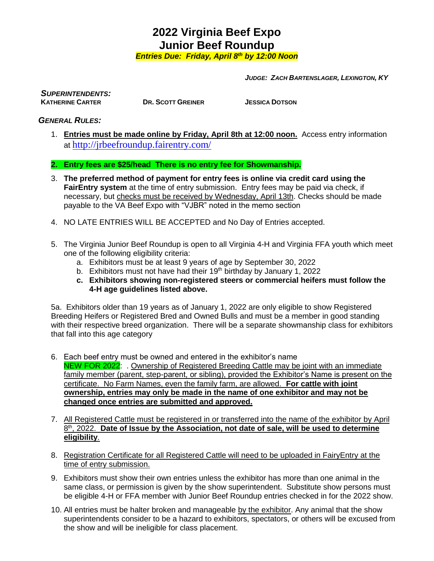*Entries Due: Friday, April 8th by 12:00 Noon*

*JUDGE: ZACH BARTENSLAGER, LEXINGTON, KY*

*SUPERINTENDENTS:*

**DR. SCOTT GREINER JESSICA DOTSON** 

### *GENERAL RULES:*

1. **Entries must be made online by Friday, April 8th at 12:00 noon.** Access entry information at <http://jrbeefroundup.fairentry.com/>

**2. Entry fees are \$25/head There is no entry fee for Showmanship.**

- 3. **The preferred method of payment for entry fees is online via credit card using the FairEntry system** at the time of entry submission. Entry fees may be paid via check, if necessary, but checks must be received by Wednesday, April 13th. Checks should be made payable to the VA Beef Expo with "VJBR" noted in the memo section
- 4. NO LATE ENTRIES WILL BE ACCEPTED and No Day of Entries accepted.
- 5. The Virginia Junior Beef Roundup is open to all Virginia 4-H and Virginia FFA youth which meet one of the following eligibility criteria:
	- a. Exhibitors must be at least 9 years of age by September 30, 2022
	- b. Exhibitors must not have had their  $19<sup>th</sup>$  birthday by January 1, 2022
	- **c. Exhibitors showing non-registered steers or commercial heifers must follow the 4-H age guidelines listed above.**

5a. Exhibitors older than 19 years as of January 1, 2022 are only eligible to show Registered Breeding Heifers or Registered Bred and Owned Bulls and must be a member in good standing with their respective breed organization. There will be a separate showmanship class for exhibitors that fall into this age category

- 6. Each beef entry must be owned and entered in the exhibitor's name NEW FOR 2022: . Ownership of Registered Breeding Cattle may be joint with an immediate family member (parent, step-parent, or sibling), provided the Exhibitor's Name is present on the certificate. No Farm Names, even the family farm, are allowed. **For cattle with joint ownership, entries may only be made in the name of one exhibitor and may not be changed once entries are submitted and approved.**
- 7. All Registered Cattle must be registered in or transferred into the name of the exhibitor by April 8 th, 2022. **Date of Issue by the Association, not date of sale, will be used to determine eligibility**.
- 8. Registration Certificate for all Registered Cattle will need to be uploaded in FairyEntry at the time of entry submission.
- 9. Exhibitors must show their own entries unless the exhibitor has more than one animal in the same class, or permission is given by the show superintendent. Substitute show persons must be eligible 4-H or FFA member with Junior Beef Roundup entries checked in for the 2022 show.
- 10. All entries must be halter broken and manageable by the exhibitor. Any animal that the show superintendents consider to be a hazard to exhibitors, spectators, or others will be excused from the show and will be ineligible for class placement.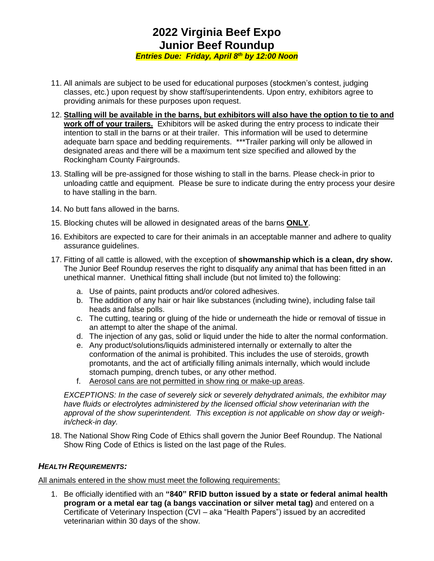*Entries Due: Friday, April 8th by 12:00 Noon*

- 11. All animals are subject to be used for educational purposes (stockmen's contest, judging classes, etc.) upon request by show staff/superintendents. Upon entry, exhibitors agree to providing animals for these purposes upon request.
- 12. **Stalling will be available in the barns, but exhibitors will also have the option to tie to and work off of your trailers.** Exhibitors will be asked during the entry process to indicate their intention to stall in the barns or at their trailer. This information will be used to determine adequate barn space and bedding requirements. \*\*\*Trailer parking will only be allowed in designated areas and there will be a maximum tent size specified and allowed by the Rockingham County Fairgrounds.
- 13. Stalling will be pre-assigned for those wishing to stall in the barns. Please check-in prior to unloading cattle and equipment. Please be sure to indicate during the entry process your desire to have stalling in the barn.
- 14. No butt fans allowed in the barns.
- 15. Blocking chutes will be allowed in designated areas of the barns **ONLY**.
- 16. Exhibitors are expected to care for their animals in an acceptable manner and adhere to quality assurance guidelines.
- 17. Fitting of all cattle is allowed, with the exception of **showmanship which is a clean, dry show.** The Junior Beef Roundup reserves the right to disqualify any animal that has been fitted in an unethical manner. Unethical fitting shall include (but not limited to) the following:
	- a. Use of paints, paint products and/or colored adhesives.
	- b. The addition of any hair or hair like substances (including twine), including false tail heads and false polls.
	- c. The cutting, tearing or gluing of the hide or underneath the hide or removal of tissue in an attempt to alter the shape of the animal.
	- d. The injection of any gas, solid or liquid under the hide to alter the normal conformation.
	- e. Any product/solutions/liquids administered internally or externally to alter the conformation of the animal is prohibited. This includes the use of steroids, growth promotants, and the act of artificially filling animals internally, which would include stomach pumping, drench tubes, or any other method.
	- f. Aerosol cans are not permitted in show ring or make-up areas.

*EXCEPTIONS: In the case of severely sick or severely dehydrated animals, the exhibitor may have fluids or electrolytes administered by the licensed official show veterinarian with the approval of the show superintendent. This exception is not applicable on show day or weighin/check-in day.*

18. The National Show Ring Code of Ethics shall govern the Junior Beef Roundup. The National Show Ring Code of Ethics is listed on the last page of the Rules.

### *HEALTH REQUIREMENTS:*

All animals entered in the show must meet the following requirements:

1. Be officially identified with an **"840" RFID button issued by a state or federal animal health program or a metal ear tag (a bangs vaccination or silver metal tag)** and entered on a Certificate of Veterinary Inspection (CVI – aka "Health Papers") issued by an accredited veterinarian within 30 days of the show.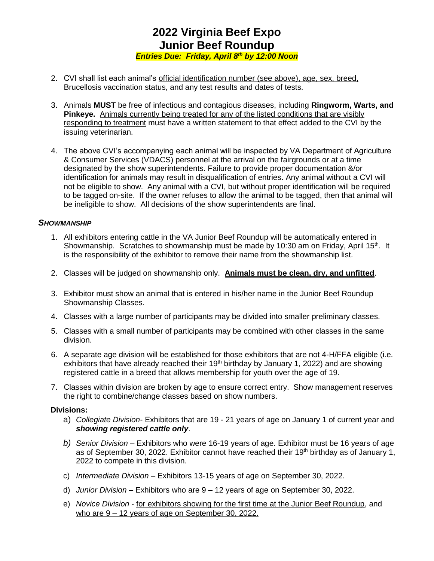*Entries Due: Friday, April 8th by 12:00 Noon*

- 2. CVI shall list each animal's official identification number (see above), age, sex, breed, Brucellosis vaccination status, and any test results and dates of tests.
- 3. Animals **MUST** be free of infectious and contagious diseases, including **Ringworm, Warts, and Pinkeye.** Animals currently being treated for any of the listed conditions that are visibly responding to treatment must have a written statement to that effect added to the CVI by the issuing veterinarian.
- 4. The above CVI's accompanying each animal will be inspected by VA Department of Agriculture & Consumer Services (VDACS) personnel at the arrival on the fairgrounds or at a time designated by the show superintendents. Failure to provide proper documentation &/or identification for animals may result in disqualification of entries. Any animal without a CVI will not be eligible to show. Any animal with a CVI, but without proper identification will be required to be tagged on-site. If the owner refuses to allow the animal to be tagged, then that animal will be ineligible to show. All decisions of the show superintendents are final.

#### *SHOWMANSHIP*

- 1. All exhibitors entering cattle in the VA Junior Beef Roundup will be automatically entered in Showmanship. Scratches to showmanship must be made by 10:30 am on Friday, April 15<sup>th</sup>. It is the responsibility of the exhibitor to remove their name from the showmanship list.
- 2. Classes will be judged on showmanship only. **Animals must be clean, dry, and unfitted**.
- 3. Exhibitor must show an animal that is entered in his/her name in the Junior Beef Roundup Showmanship Classes.
- 4. Classes with a large number of participants may be divided into smaller preliminary classes.
- 5. Classes with a small number of participants may be combined with other classes in the same division.
- 6. A separate age division will be established for those exhibitors that are not 4-H/FFA eligible (i.e. exhibitors that have already reached their  $19<sup>th</sup>$  birthday by January 1, 2022) and are showing registered cattle in a breed that allows membership for youth over the age of 19.
- 7. Classes within division are broken by age to ensure correct entry. Show management reserves the right to combine/change classes based on show numbers.

#### **Divisions:**

- a) *Collegiate Division-* Exhibitors that are 19 21 years of age on January 1 of current year and *showing registered cattle only*.
- *b) Senior Division* Exhibitors who were 16-19 years of age. Exhibitor must be 16 years of age as of September 30, 2022. Exhibitor cannot have reached their 19<sup>th</sup> birthday as of January 1, 2022 to compete in this division.
- c) *Intermediate Division* Exhibitors 13-15 years of age on September 30, 2022.
- d) *Junior Division* Exhibitors who are 9 12 years of age on September 30, 2022.
- e) *Novice Division* for exhibitors showing for the first time at the Junior Beef Roundup, and who are 9 – 12 years of age on September 30, 2022.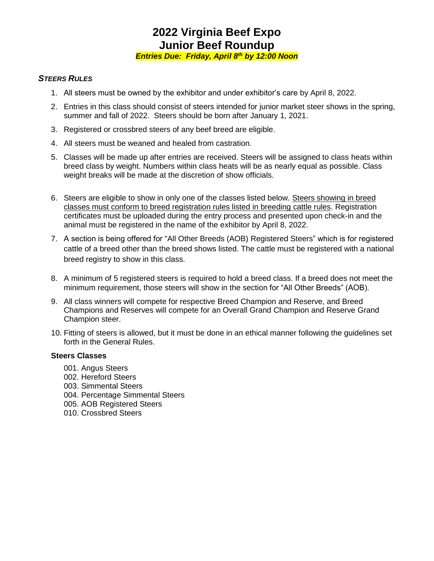*Entries Due: Friday, April 8th by 12:00 Noon*

#### *STEERS RULES*

- 1. All steers must be owned by the exhibitor and under exhibitor's care by April 8, 2022.
- 2. Entries in this class should consist of steers intended for junior market steer shows in the spring, summer and fall of 2022. Steers should be born after January 1, 2021.
- 3. Registered or crossbred steers of any beef breed are eligible.
- 4. All steers must be weaned and healed from castration.
- 5. Classes will be made up after entries are received. Steers will be assigned to class heats within breed class by weight. Numbers within class heats will be as nearly equal as possible. Class weight breaks will be made at the discretion of show officials.
- 6. Steers are eligible to show in only one of the classes listed below. Steers showing in breed classes must conform to breed registration rules listed in breeding cattle rules. Registration certificates must be uploaded during the entry process and presented upon check-in and the animal must be registered in the name of the exhibitor by April 8, 2022.
- 7. A section is being offered for "All Other Breeds (AOB) Registered Steers" which is for registered cattle of a breed other than the breed shows listed. The cattle must be registered with a national breed registry to show in this class.
- 8. A minimum of 5 registered steers is required to hold a breed class. If a breed does not meet the minimum requirement, those steers will show in the section for "All Other Breeds" (AOB).
- 9. All class winners will compete for respective Breed Champion and Reserve, and Breed Champions and Reserves will compete for an Overall Grand Champion and Reserve Grand Champion steer.
- 10. Fitting of steers is allowed, but it must be done in an ethical manner following the guidelines set forth in the General Rules.

#### **Steers Classes**

- 001. Angus Steers
- 002. Hereford Steers
- 003. Simmental Steers
- 004. Percentage Simmental Steers
- 005. AOB Registered Steers
- 010. Crossbred Steers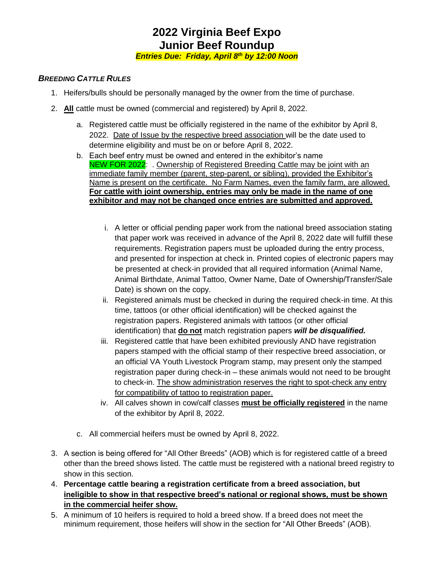*Entries Due: Friday, April 8th by 12:00 Noon*

### *BREEDING CATTLE RULES*

- 1. Heifers/bulls should be personally managed by the owner from the time of purchase.
- 2. **All** cattle must be owned (commercial and registered) by April 8, 2022.
	- a. Registered cattle must be officially registered in the name of the exhibitor by April 8, 2022. Date of Issue by the respective breed association will be the date used to determine eligibility and must be on or before April 8, 2022.
	- b. Each beef entry must be owned and entered in the exhibitor's name NEW FOR 2022: . Ownership of Registered Breeding Cattle may be joint with an immediate family member (parent, step-parent, or sibling), provided the Exhibitor's Name is present on the certificate. No Farm Names, even the family farm, are allowed. **For cattle with joint ownership, entries may only be made in the name of one exhibitor and may not be changed once entries are submitted and approved.**
		- i. A letter or official pending paper work from the national breed association stating that paper work was received in advance of the April 8, 2022 date will fulfill these requirements. Registration papers must be uploaded during the entry process, and presented for inspection at check in. Printed copies of electronic papers may be presented at check-in provided that all required information (Animal Name, Animal Birthdate, Animal Tattoo, Owner Name, Date of Ownership/Transfer/Sale Date) is shown on the copy.
		- ii. Registered animals must be checked in during the required check-in time. At this time, tattoos (or other official identification) will be checked against the registration papers. Registered animals with tattoos (or other official identification) that **do not** match registration papers *will be disqualified.*
		- iii. Registered cattle that have been exhibited previously AND have registration papers stamped with the official stamp of their respective breed association, or an official VA Youth Livestock Program stamp, may present only the stamped registration paper during check-in – these animals would not need to be brought to check-in. The show administration reserves the right to spot-check any entry for compatibility of tattoo to registration paper.
		- iv. All calves shown in cow/calf classes **must be officially registered** in the name of the exhibitor by April 8, 2022.
	- c. All commercial heifers must be owned by April 8, 2022.
- 3. A section is being offered for "All Other Breeds" (AOB) which is for registered cattle of a breed other than the breed shows listed. The cattle must be registered with a national breed registry to show in this section.
- 4. **Percentage cattle bearing a registration certificate from a breed association, but ineligible to show in that respective breed's national or regional shows, must be shown in the commercial heifer show.**
- 5. A minimum of 10 heifers is required to hold a breed show. If a breed does not meet the minimum requirement, those heifers will show in the section for "All Other Breeds" (AOB).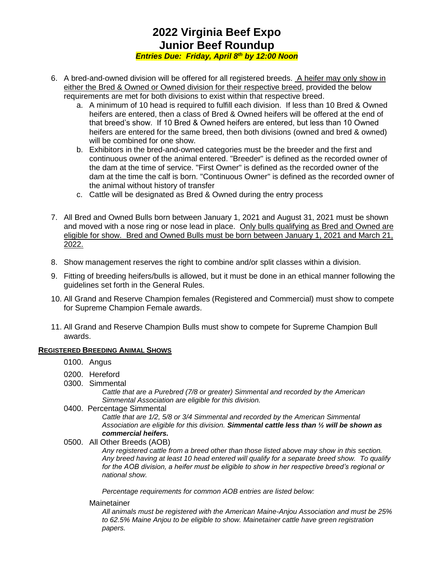*Entries Due: Friday, April 8th by 12:00 Noon*

- 6. A bred-and-owned division will be offered for all registered breeds. A heifer may only show in either the Bred & Owned or Owned division for their respective breed, provided the below requirements are met for both divisions to exist within that respective breed.
	- a. A minimum of 10 head is required to fulfill each division. If less than 10 Bred & Owned heifers are entered, then a class of Bred & Owned heifers will be offered at the end of that breed's show. If 10 Bred & Owned heifers are entered, but less than 10 Owned heifers are entered for the same breed, then both divisions (owned and bred & owned) will be combined for one show.
	- b. Exhibitors in the bred-and-owned categories must be the breeder and the first and continuous owner of the animal entered. "Breeder" is defined as the recorded owner of the dam at the time of service. "First Owner" is defined as the recorded owner of the dam at the time the calf is born. "Continuous Owner" is defined as the recorded owner of the animal without history of transfer
	- c. Cattle will be designated as Bred & Owned during the entry process
- 7. All Bred and Owned Bulls born between January 1, 2021 and August 31, 2021 must be shown and moved with a nose ring or nose lead in place. Only bulls qualifying as Bred and Owned are eligible for show. Bred and Owned Bulls must be born between January 1, 2021 and March 21, 2022.
- 8. Show management reserves the right to combine and/or split classes within a division.
- 9. Fitting of breeding heifers/bulls is allowed, but it must be done in an ethical manner following the guidelines set forth in the General Rules.
- 10. All Grand and Reserve Champion females (Registered and Commercial) must show to compete for Supreme Champion Female awards.
- 11. All Grand and Reserve Champion Bulls must show to compete for Supreme Champion Bull awards.

### **REGISTERED BREEDING ANIMAL SHOWS**

- 0100. Angus
- 0200. Hereford
- 0300. Simmental

*Cattle that are a Purebred (7/8 or greater) Simmental and recorded by the American Simmental Association are eligible for this division.*

0400. Percentage Simmental

*Cattle that are 1/2, 5/8 or 3/4 Simmental and recorded by the American Simmental Association are eligible for this division. Simmental cattle less than ½ will be shown as commercial heifers.*

0500. All Other Breeds (AOB)

*Any registered cattle from a breed other than those listed above may show in this section. Any breed having at least 10 head entered will qualify for a separate breed show. To qualify for the AOB division, a heifer must be eligible to show in her respective breed's regional or national show.*

*Percentage requirements for common AOB entries are listed below:*

Mainetainer

*All animals must be registered with the American Maine-Anjou Association and must be 25% to 62.5% Maine Anjou to be eligible to show. Mainetainer cattle have green registration papers.*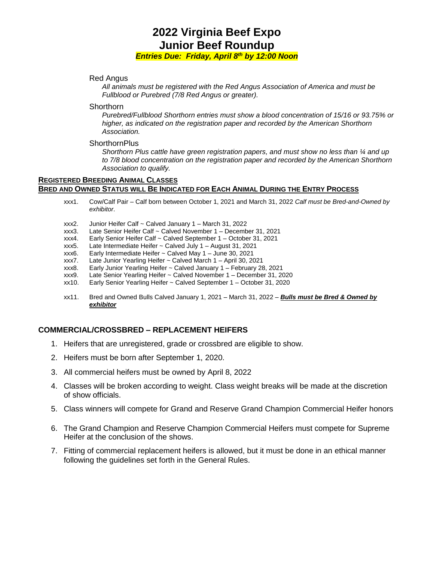#### *Entries Due: Friday, April 8th by 12:00 Noon*

#### Red Angus

*All animals must be registered with the Red Angus Association of America and must be Fullblood or Purebred (7/8 Red Angus or greater).* 

#### **Shorthorn**

*Purebred/Fullblood Shorthorn entries must show a blood concentration of 15/16 or 93.75% or higher, as indicated on the registration paper and recorded by the American Shorthorn Association.*

#### **ShorthornPlus**

*Shorthorn Plus cattle have green registration papers, and must show no less than ¼ and up to 7/8 blood concentration on the registration paper and recorded by the American Shorthorn Association to qualify.* 

#### **REGISTERED BREEDING ANIMAL CLASSES BRED AND OWNED STATUS WILL BE INDICATED FOR EACH ANIMAL DURING THE ENTRY PROCESS**

- xxx1. Cow/Calf Pair Calf born between October 1, 2021 and March 31, 2022 *Calf must be Bred-and-Owned by exhibitor*.
- xxx2. Junior Heifer Calf ~ Calved January 1 March 31, 2022
- xxx3. Late Senior Heifer Calf ~ Calved November 1 December 31, 2021
- xxx4. Early Senior Heifer Calf ~ Calved September 1 October 31, 2021
- xxx5. Late Intermediate Heifer ~ Calved July 1 August 31, 2021
- xxx6. Early Intermediate Heifer ~ Calved May 1 June 30, 2021
- Late Junior Yearling Heifer ~ Calved March 1 April 30, 2021
- xxx8. Early Junior Yearling Heifer ~ Calved January 1 February 28, 2021
- xxx9. Late Senior Yearling Heifer ~ Calved November 1 December 31, 2020
- xx10. Early Senior Yearling Heifer ~ Calved September 1 October 31, 2020
- xx11. Bred and Owned Bulls Calved January 1, 2021 March 31, 2022 *Bulls must be Bred & Owned by exhibitor*

### **COMMERCIAL/CROSSBRED – REPLACEMENT HEIFERS**

- 1. Heifers that are unregistered, grade or crossbred are eligible to show.
- 2. Heifers must be born after September 1, 2020.
- 3. All commercial heifers must be owned by April 8, 2022
- 4. Classes will be broken according to weight. Class weight breaks will be made at the discretion of show officials.
- 5. Class winners will compete for Grand and Reserve Grand Champion Commercial Heifer honors
- 6. The Grand Champion and Reserve Champion Commercial Heifers must compete for Supreme Heifer at the conclusion of the shows.
- 7. Fitting of commercial replacement heifers is allowed, but it must be done in an ethical manner following the guidelines set forth in the General Rules.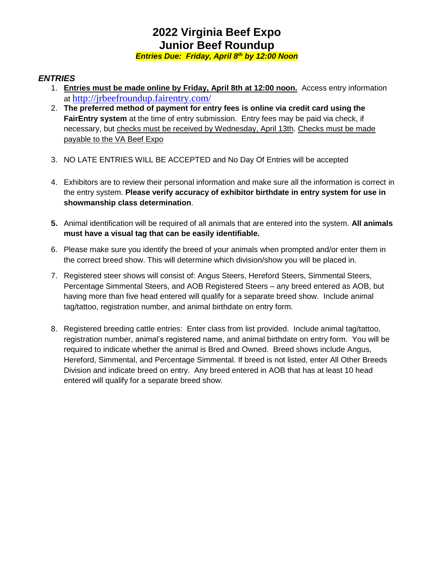*Entries Due: Friday, April 8th by 12:00 Noon*

### *ENTRIES*

- 1. **Entries must be made online by Friday, April 8th at 12:00 noon.** Access entry information at <http://jrbeefroundup.fairentry.com/>
- 2. **The preferred method of payment for entry fees is online via credit card using the FairEntry system** at the time of entry submission. Entry fees may be paid via check, if necessary, but checks must be received by Wednesday, April 13th. Checks must be made payable to the VA Beef Expo
- 3. NO LATE ENTRIES WILL BE ACCEPTED and No Day Of Entries will be accepted
- 4. Exhibitors are to review their personal information and make sure all the information is correct in the entry system. **Please verify accuracy of exhibitor birthdate in entry system for use in showmanship class determination**.
- **5.** Animal identification will be required of all animals that are entered into the system. **All animals must have a visual tag that can be easily identifiable.**
- 6. Please make sure you identify the breed of your animals when prompted and/or enter them in the correct breed show. This will determine which division/show you will be placed in.
- 7. Registered steer shows will consist of: Angus Steers, Hereford Steers, Simmental Steers, Percentage Simmental Steers, and AOB Registered Steers – any breed entered as AOB, but having more than five head entered will qualify for a separate breed show. Include animal tag/tattoo, registration number, and animal birthdate on entry form.
- 8. Registered breeding cattle entries: Enter class from list provided. Include animal tag/tattoo, registration number, animal's registered name, and animal birthdate on entry form. You will be required to indicate whether the animal is Bred and Owned. Breed shows include Angus, Hereford, Simmental, and Percentage Simmental. If breed is not listed, enter All Other Breeds Division and indicate breed on entry. Any breed entered in AOB that has at least 10 head entered will qualify for a separate breed show.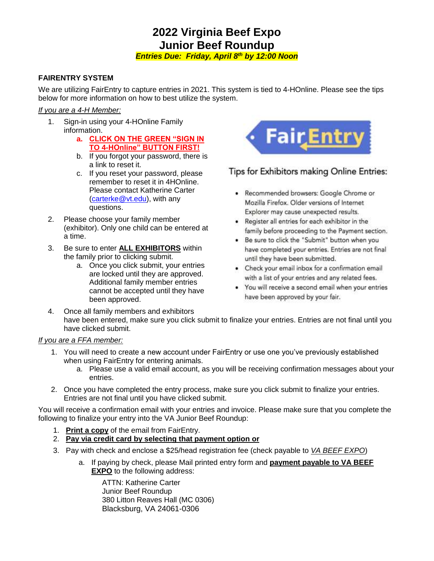*Entries Due: Friday, April 8th by 12:00 Noon*

### **FAIRENTRY SYSTEM**

We are utilizing FairEntry to capture entries in 2021. This system is tied to 4-HOnline. Please see the tips below for more information on how to best utilize the system.

#### *If you are a 4-H Member:*

- 1. Sign-in using your 4-HOnline Family information.
	- **a. CLICK ON THE GREEN "SIGN IN TO 4-HOnline" BUTTON FIRST!**
	- b. If you forgot your password, there is a link to reset it.
	- c. If you reset your password, please remember to reset it in 4HOnline. Please contact Katherine Carter [\(carterke@vt.edu\)](mailto:carterke@vt.edu), with any questions.
- 2. Please choose your family member (exhibitor). Only one child can be entered at a time.
- 3. Be sure to enter **ALL EXHIBITORS** within the family prior to clicking submit.
	- a. Once you click submit, your entries are locked until they are approved. Additional family member entries cannot be accepted until they have been approved.



## Tips for Exhibitors making Online Entries:

- Recommended browsers: Google Chrome or Mozilla Firefox. Older versions of Internet Explorer may cause unexpected results.
- . Register all entries for each exhibitor in the family before proceeding to the Payment section.
- . Be sure to click the "Submit" button when you have completed your entries. Entries are not final until they have been submitted.
- Check your email inbox for a confirmation email with a list of your entries and any related fees.
- You will receive a second email when your entries have been approved by your fair.
- 4. Once all family members and exhibitors have been entered, make sure you click submit to finalize your entries. Entries are not final until you have clicked submit.

### *If you are a FFA member:*

- 1. You will need to create a new account under FairEntry or use one you've previously established when using FairEntry for entering animals.
	- a. Please use a valid email account, as you will be receiving confirmation messages about your entries.
- 2. Once you have completed the entry process, make sure you click submit to finalize your entries. Entries are not final until you have clicked submit.

You will receive a confirmation email with your entries and invoice. Please make sure that you complete the following to finalize your entry into the VA Junior Beef Roundup:

- 1. **Print a copy** of the email from FairEntry.
- 2. **Pay via credit card by selecting that payment option or**
- 3. Pay with check and enclose a \$25/head registration fee (check payable to *VA BEEF EXPO*)
	- a. If paying by check, please Mail printed entry form and **payment payable to VA BEEF EXPO** to the following address:

ATTN: Katherine Carter Junior Beef Roundup 380 Litton Reaves Hall (MC 0306) Blacksburg, VA 24061-0306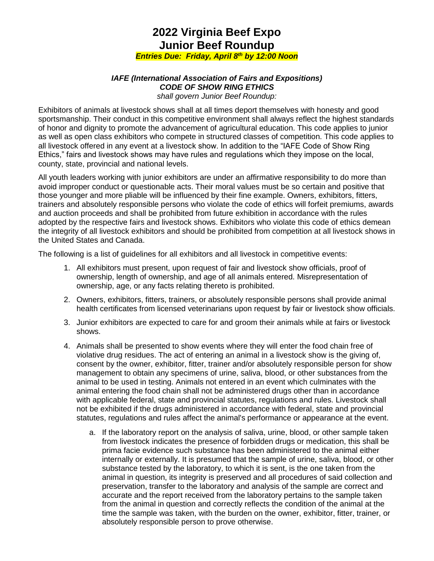*Entries Due: Friday, April 8th by 12:00 Noon*

#### *IAFE (International Association of Fairs and Expositions) CODE OF SHOW RING ETHICS shall govern Junior Beef Roundup:*

Exhibitors of animals at livestock shows shall at all times deport themselves with honesty and good sportsmanship. Their conduct in this competitive environment shall always reflect the highest standards of honor and dignity to promote the advancement of agricultural education. This code applies to junior as well as open class exhibitors who compete in structured classes of competition. This code applies to all livestock offered in any event at a livestock show. In addition to the "IAFE Code of Show Ring Ethics," fairs and livestock shows may have rules and regulations which they impose on the local, county, state, provincial and national levels.

All youth leaders working with junior exhibitors are under an affirmative responsibility to do more than avoid improper conduct or questionable acts. Their moral values must be so certain and positive that those younger and more pliable will be influenced by their fine example. Owners, exhibitors, fitters, trainers and absolutely responsible persons who violate the code of ethics will forfeit premiums, awards and auction proceeds and shall be prohibited from future exhibition in accordance with the rules adopted by the respective fairs and livestock shows. Exhibitors who violate this code of ethics demean the integrity of all livestock exhibitors and should be prohibited from competition at all livestock shows in the United States and Canada.

The following is a list of guidelines for all exhibitors and all livestock in competitive events:

- 1. All exhibitors must present, upon request of fair and livestock show officials, proof of ownership, length of ownership, and age of all animals entered. Misrepresentation of ownership, age, or any facts relating thereto is prohibited.
- 2. Owners, exhibitors, fitters, trainers, or absolutely responsible persons shall provide animal health certificates from licensed veterinarians upon request by fair or livestock show officials.
- 3. Junior exhibitors are expected to care for and groom their animals while at fairs or livestock shows.
- 4. Animals shall be presented to show events where they will enter the food chain free of violative drug residues. The act of entering an animal in a livestock show is the giving of, consent by the owner, exhibitor, fitter, trainer and/or absolutely responsible person for show management to obtain any specimens of urine, saliva, blood, or other substances from the animal to be used in testing. Animals not entered in an event which culminates with the animal entering the food chain shall not be administered drugs other than in accordance with applicable federal, state and provincial statutes, regulations and rules. Livestock shall not be exhibited if the drugs administered in accordance with federal, state and provincial statutes, regulations and rules affect the animal's performance or appearance at the event.
	- a. If the laboratory report on the analysis of saliva, urine, blood, or other sample taken from livestock indicates the presence of forbidden drugs or medication, this shall be prima facie evidence such substance has been administered to the animal either internally or externally. It is presumed that the sample of urine, saliva, blood, or other substance tested by the laboratory, to which it is sent, is the one taken from the animal in question, its integrity is preserved and all procedures of said collection and preservation, transfer to the laboratory and analysis of the sample are correct and accurate and the report received from the laboratory pertains to the sample taken from the animal in question and correctly reflects the condition of the animal at the time the sample was taken, with the burden on the owner, exhibitor, fitter, trainer, or absolutely responsible person to prove otherwise.